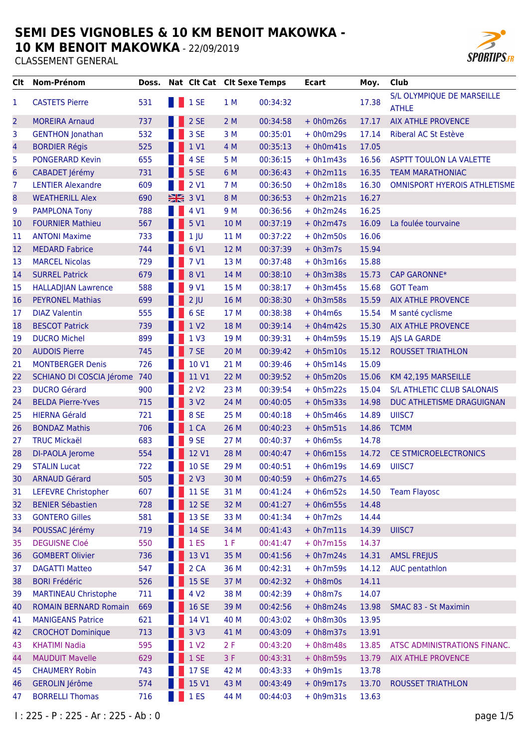**10 KM BENOIT MAKOWKA - 22/09/2019** 



| Clt             | Nom-Prénom                   | Doss. |     |                  | Nat Clt Cat Clt Sexe Temps |          | <b>Ecart</b> | Moy.  | <b>Club</b>                                |
|-----------------|------------------------------|-------|-----|------------------|----------------------------|----------|--------------|-------|--------------------------------------------|
| 1               | <b>CASTETS Pierre</b>        | 531   |     | <b>1</b> 1 SE    | 1 M                        | 00:34:32 |              | 17.38 | S/L OLYMPIQUE DE MARSEILLE<br><b>ATHLE</b> |
| $\overline{c}$  | <b>MOREIRA Arnaud</b>        | 737   |     | 2 SE             | 2M                         | 00:34:58 | $+ 0h0m26s$  | 17.17 | <b>AIX ATHLE PROVENCE</b>                  |
| 3               | <b>GENTHON Jonathan</b>      | 532   |     | 3 SE             | 3M                         | 00:35:01 | $+ 0h0m29s$  | 17.14 | Riberal AC St Estève                       |
| 4               | <b>BORDIER Régis</b>         | 525   |     | 1 V1             | 4 M                        | 00:35:13 | $+ 0h0m41s$  | 17.05 |                                            |
| 5               | <b>PONGERARD Kevin</b>       | 655   |     | 4 SE             | 5 M                        | 00:36:15 | $+ 0h1m43s$  | 16.56 | <b>ASPTT TOULON LA VALETTE</b>             |
| $6\phantom{1}6$ | CABADET Jérémy               | 731   |     | 5 SE             | 6 M                        | 00:36:43 | $+ 0h2m11s$  | 16.35 | <b>TEAM MARATHONIAC</b>                    |
| 7               | <b>LENTIER Alexandre</b>     | 609   |     | 2 V1             | 7 M                        | 00:36:50 | $+ 0h2m18s$  | 16.30 | OMNISPORT HYEROIS ATHLETISME               |
| 8               | <b>WEATHERILL Alex</b>       | 690   |     | 3 V1             | 8 M                        | 00:36:53 | $+ 0h2m21s$  | 16.27 |                                            |
| 9               | <b>PAMPLONA Tony</b>         | 788   |     | 4 V1             | 9 M                        | 00:36:56 | $+ 0h2m24s$  | 16.25 |                                            |
| 10              | <b>FOURNIER Mathieu</b>      | 567   |     | 5 V1             | 10 M                       | 00:37:19 | $+ 0h2m47s$  | 16.09 | La foulée tourvaine                        |
| 11              | <b>ANTONI Maxime</b>         | 733   |     | 1 <sub>1</sub>   | 11 M                       | 00:37:22 | $+ 0h2m50s$  | 16.06 |                                            |
| 12              | <b>MEDARD Fabrice</b>        | 744   |     | 6 V1             | 12 M                       | 00:37:39 | $+ 0h3m7s$   | 15.94 |                                            |
| 13              | <b>MARCEL Nicolas</b>        | 729   |     | 7 V1             | 13 M                       | 00:37:48 | $+ 0h3m16s$  | 15.88 |                                            |
| 14              | <b>SURREL Patrick</b>        | 679   |     | 8 V1             | 14 M                       | 00:38:10 | $+ 0h3m38s$  | 15.73 | <b>CAP GARONNE*</b>                        |
| 15              | <b>HALLADJIAN Lawrence</b>   | 588   |     | 9 V1             | 15 M                       | 00:38:17 | $+ 0h3m45s$  | 15.68 | <b>GOT Team</b>                            |
| 16              | <b>PEYRONEL Mathias</b>      | 699   |     | $2$ JU           | 16 M                       | 00:38:30 | $+ 0h3m58s$  | 15.59 | <b>AIX ATHLE PROVENCE</b>                  |
| 17              | <b>DIAZ Valentin</b>         | 555   |     | 6 SE             | 17 M                       | 00:38:38 | $+ 0h4m6s$   | 15.54 | M santé cyclisme                           |
| 18              | <b>BESCOT Patrick</b>        | 739   |     | 1 V2             | 18 M                       | 00:39:14 | $+ 0h4m42s$  | 15.30 | <b>AIX ATHLE PROVENCE</b>                  |
| 19              | <b>DUCRO Michel</b>          | 899   |     | 1 <sub>V</sub> 3 | 19 M                       | 00:39:31 | $+ 0h4m59s$  | 15.19 | AJS LA GARDE                               |
| 20              | <b>AUDOIS Pierre</b>         | 745   |     | 7 SE             | 20 M                       | 00:39:42 | $+ 0h5m10s$  | 15.12 | <b>ROUSSET TRIATHLON</b>                   |
| 21              | <b>MONTBERGER Denis</b>      | 726   |     | 10 V1            | 21 M                       | 00:39:46 | $+ 0h5m14s$  | 15.09 |                                            |
| 22              | SCHIANO DI COSCIA Jérome     | 740   |     | 11 V1            | 22 M                       | 00:39:52 | $+ 0h5m20s$  | 15.06 | KM 42,195 MARSEILLE                        |
| 23              | <b>DUCRO Gérard</b>          | 900   |     | 2 <sub>V2</sub>  | 23 M                       | 00:39:54 | $+ 0h5m22s$  | 15.04 | S/L ATHLETIC CLUB SALONAIS                 |
| 24              | <b>BELDA Pierre-Yves</b>     | 715   |     | 3 V <sub>2</sub> | 24 M                       | 00:40:05 | $+ 0h5m33s$  | 14.98 | DUC ATHLETISME DRAGUIGNAN                  |
| 25              | <b>HIERNA Gérald</b>         | 721   |     | 8 SE             | 25 M                       | 00:40:18 | $+ 0h5m46s$  | 14.89 | UIISC7                                     |
| 26              | <b>BONDAZ Mathis</b>         | 706   |     | 1 CA             | 26 M                       | 00:40:23 | $+ 0h5m51s$  | 14.86 | <b>TCMM</b>                                |
| 27              | <b>TRUC Mickaël</b>          | 683   |     | 9 SE             | 27 M                       | 00:40:37 | $+ 0h6m5s$   | 14.78 |                                            |
| 28              | DI-PAOLA Jerome              | 554   |     | 12 V1            | 28 M                       | 00:40:47 | $+ 0h6m15s$  | 14.72 | CE STMICROELECTRONICS                      |
| 29              | <b>STALIN Lucat</b>          | 722   | - - | <b>1 10 SE</b>   | 29 M                       | 00:40:51 | $+ 0h6m19s$  | 14.69 | UIISC7                                     |
| 30              | <b>ARNAUD Gérard</b>         | 505   |     | 2 <sub>V</sub> 3 | 30 M                       | 00:40:59 | $+ 0h6m27s$  | 14.65 |                                            |
| 31              | <b>LEFEVRE Christopher</b>   | 607   |     | <b>11 SE</b>     | 31 M                       | 00:41:24 | $+ 0h6m52s$  | 14.50 | <b>Team Flayosc</b>                        |
| 32              | <b>BENIER Sébastien</b>      | 728   |     | <b>12 SE</b>     | 32 M                       | 00:41:27 | $+ 0h6m55s$  | 14.48 |                                            |
| 33              | <b>GONTERO Gilles</b>        | 581   |     | 13 SE            | 33 M                       | 00:41:34 | $+ 0h7m2s$   | 14.44 |                                            |
| 34              | POUSSAC Jérémy               | 719   |     | 14 SE            | 34 M                       | 00:41:43 | $+ 0h7m11s$  | 14.39 | UIISC7                                     |
| 35              | <b>DEGUISNE Cloé</b>         | 550   |     | 1 <sub>ES</sub>  | 1 F                        | 00:41:47 | $+ 0h7m15s$  | 14.37 |                                            |
| 36              | <b>GOMBERT Olivier</b>       | 736   |     | 13 V1            | 35 M                       | 00:41:56 | $+ 0h7m24s$  | 14.31 | <b>AMSL FREJUS</b>                         |
| 37              | <b>DAGATTI Matteo</b>        | 547   |     | 2 CA             | 36 M                       | 00:42:31 | $+ 0h7m59s$  | 14.12 | AUC pentathlon                             |
| 38              | <b>BORI Frédéric</b>         | 526   |     | <b>15 SE</b>     | 37 M                       | 00:42:32 | $+ 0h8m0s$   | 14.11 |                                            |
| 39              | <b>MARTINEAU Christophe</b>  | 711   |     | 4 V <sub>2</sub> | 38 M                       | 00:42:39 | $+ 0h8m7s$   | 14.07 |                                            |
| 40              | <b>ROMAIN BERNARD Romain</b> | 669   |     | <b>16 SE</b>     | 39 M                       | 00:42:56 | $+ 0h8m24s$  | 13.98 | SMAC 83 - St Maximin                       |
| 41              | <b>MANIGEANS Patrice</b>     | 621   |     | 14 V1            | 40 M                       | 00:43:02 | $+ 0h8m30s$  | 13.95 |                                            |
| 42              | <b>CROCHOT Dominique</b>     | 713   |     | 3 V3             | 41 M                       | 00:43:09 | $+ 0h8m37s$  | 13.91 |                                            |
| 43              | <b>KHATIMI Nadia</b>         | 595   |     | 1 V <sub>2</sub> | 2F                         | 00:43:20 | $+ 0h8m48s$  | 13.85 | ATSC ADMINISTRATIONS FINANC.               |
| 44              | <b>MAUDUIT Mavelle</b>       | 629   |     | 1SE              | 3F                         | 00:43:31 | $+ 0h8m59s$  | 13.79 | AIX ATHLE PROVENCE                         |
| 45              | <b>CHAUMERY Robin</b>        | 743   |     | <b>17 SE</b>     | 42 M                       | 00:43:33 | $+ 0h9m1s$   | 13.78 |                                            |
| 46              | <b>GEROLIN Jérôme</b>        | 574   |     | 15 V1            | 43 M                       | 00:43:49 | $+ 0h9m17s$  | 13.70 | <b>ROUSSET TRIATHLON</b>                   |
| 47              | <b>BORRELLI Thomas</b>       | 716   |     | 1 ES             | 44 M                       | 00:44:03 | $+ 0h9m31s$  | 13.63 |                                            |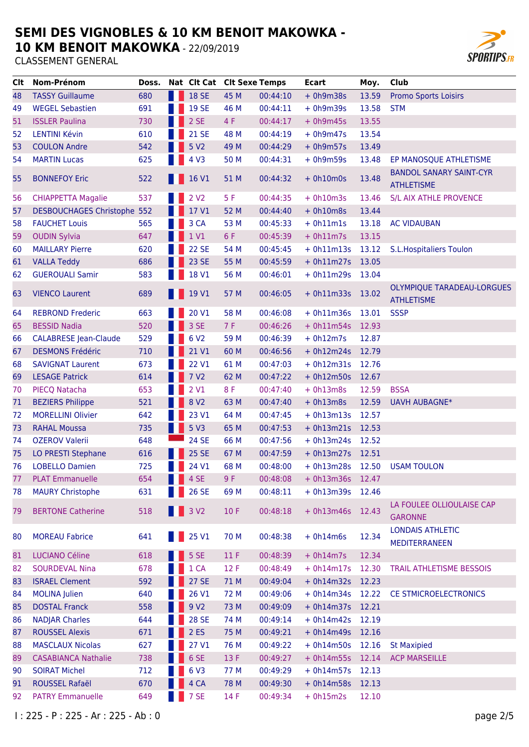**10 KM BENOIT MAKOWKA - 22/09/2019** 



| Clt | <b>Nom-Prénom</b>            | Doss. |                           | Nat Clt Cat Clt Sexe Temps |      |          | <b>Ecart</b>     | Moy.  | <b>Club</b>                                            |
|-----|------------------------------|-------|---------------------------|----------------------------|------|----------|------------------|-------|--------------------------------------------------------|
| 48  | <b>TASSY Guillaume</b>       | 680   |                           | 18 SE                      | 45 M | 00:44:10 | $+ 0h9m38s$      | 13.59 | <b>Promo Sports Loisirs</b>                            |
| 49  | <b>WEGEL Sebastien</b>       | 691   |                           | <b>19 SE</b>               | 46 M | 00:44:11 | $+ 0h9m39s$      | 13.58 | <b>STM</b>                                             |
| 51  | <b>ISSLER Paulina</b>        | 730   |                           | 2 SE                       | 4 F  | 00:44:17 | $+ 0h9m45s$      | 13.55 |                                                        |
| 52  | <b>LENTINI Kévin</b>         | 610   |                           | <b>21 SE</b>               | 48 M | 00:44:19 | $+ 0h9m47s$      | 13.54 |                                                        |
| 53  | <b>COULON Andre</b>          | 542   |                           | 5 V <sub>2</sub>           | 49 M | 00:44:29 | $+ 0h9m57s$      | 13.49 |                                                        |
| 54  | <b>MARTIN Lucas</b>          | 625   |                           | 4 V3                       | 50 M | 00:44:31 | $+ 0h9m59s$      | 13.48 | EP MANOSQUE ATHLETISME                                 |
| 55  | <b>BONNEFOY Eric</b>         | 522   |                           | 16 V1                      | 51 M | 00:44:32 | $+ 0h10m0s$      | 13.48 | <b>BANDOL SANARY SAINT-CYR</b><br><b>ATHLETISME</b>    |
| 56  | <b>CHIAPPETTA Magalie</b>    | 537   |                           | 2 V <sub>2</sub>           | 5F   | 00:44:35 | $+ 0h10m3s$      | 13.46 | S/L AIX ATHLE PROVENCE                                 |
| 57  | DESBOUCHAGES Christophe 552  |       |                           | 17 V1                      | 52 M | 00:44:40 | $+ 0h10m8s$      | 13.44 |                                                        |
| 58  | <b>FAUCHET Louis</b>         | 565   |                           | 3 CA                       | 53 M | 00:45:33 | $+ 0h11m1s$      | 13.18 | <b>AC VIDAUBAN</b>                                     |
| 59  | <b>OUDIN Sylvia</b>          | 647   |                           | 1 V1                       | 6 F  | 00:45:39 | $+ 0h11m7s$      | 13.15 |                                                        |
| 60  | <b>MAILLARY Pierre</b>       | 620   |                           | <b>22 SE</b>               | 54 M | 00:45:45 | $+ 0h11m13s$     | 13.12 | <b>S.L. Hospitaliers Toulon</b>                        |
| 61  | <b>VALLA Teddy</b>           | 686   |                           | <b>23 SE</b>               | 55 M | 00:45:59 | $+ 0h11m27s$     | 13.05 |                                                        |
| 62  | <b>GUEROUALI Samir</b>       | 583   |                           | 18 V1                      | 56 M | 00:46:01 | $+ 0h11m29s$     | 13.04 |                                                        |
| 63  | <b>VIENCO Laurent</b>        | 689   |                           | 19 V1                      | 57 M | 00:46:05 | $+ 0h11m33s$     | 13.02 | <b>OLYMPIQUE TARADEAU-LORGUES</b><br><b>ATHLETISME</b> |
| 64  | <b>REBROND Frederic</b>      | 663   |                           | 20 V1                      | 58 M | 00:46:08 | $+ 0h11m36s$     | 13.01 | <b>SSSP</b>                                            |
| 65  | <b>BESSID Nadia</b>          | 520   |                           | 3 SE                       | 7F   | 00:46:26 | $+ 0h11m54s$     | 12.93 |                                                        |
| 66  | <b>CALABRESE Jean-Claude</b> | 529   |                           | 6 V <sub>2</sub>           | 59 M | 00:46:39 | $+ 0h12m7s$      | 12.87 |                                                        |
| 67  | <b>DESMONS Frédéric</b>      | 710   |                           | 21 V1                      | 60 M | 00:46:56 | $+ 0h12m24s$     | 12.79 |                                                        |
| 68  | <b>SAVIGNAT Laurent</b>      | 673   |                           | 22 V1                      | 61 M | 00:47:03 | $+ 0h12m31s$     | 12.76 |                                                        |
| 69  | <b>LESAGE Patrick</b>        | 614   |                           | 7 <sub>V2</sub>            | 62 M | 00:47:22 | $+ 0h12m50s$     | 12.67 |                                                        |
| 70  | PIECQ Natacha                | 653   |                           | 2 V1                       | 8F   | 00:47:40 | $+ 0h13m8s$      | 12.59 | <b>BSSA</b>                                            |
| 71  | <b>BEZIERS Philippe</b>      | 521   |                           | 8 V <sub>2</sub>           | 63 M | 00:47:40 | $+ 0h13m8s$      | 12.59 | <b>UAVH AUBAGNE*</b>                                   |
| 72  | <b>MORELLINI Olivier</b>     | 642   |                           | 23 V1                      | 64 M | 00:47:45 | $+ 0h13m13s$     | 12.57 |                                                        |
| 73  | <b>RAHAL Moussa</b>          | 735   |                           | 5 <sub>V3</sub>            | 65 M | 00:47:53 | $+ 0h13m21s$     | 12.53 |                                                        |
| 74  | <b>OZEROV Valerii</b>        | 648   |                           | <b>24 SE</b>               | 66 M | 00:47:56 | $+ 0h13m24s$     | 12.52 |                                                        |
| 75  | LO PRESTI Stephane           | 616   |                           | 25 SE                      | 67 M | 00:47:59 | $+ 0h13m27s$     | 12.51 |                                                        |
| 76  | <b>LOBELLO Damien</b>        | 725   |                           | 24 V1                      | 68 M | 00:48:00 | + 0h13m28s 12.50 |       | <b>USAM TOULON</b>                                     |
| 77  | <b>PLAT Emmanuelle</b>       | 654   | <b>The Contract State</b> | 4 SE                       | 9 F  | 00:48:08 | $+ 0h13m36s$     | 12.47 |                                                        |
| 78  | <b>MAURY Christophe</b>      | 631   |                           | 26 SE                      | 69 M | 00:48:11 | $+ 0h13m39s$     | 12.46 |                                                        |
| 79  | <b>BERTONE Catherine</b>     | 518   |                           | <b>1</b> 3 V2              | 10F  | 00:48:18 | $+ 0h13m46s$     | 12.43 | LA FOULEE OLLIOULAISE CAP<br><b>GARONNE</b>            |
| 80  | <b>MOREAU Fabrice</b>        | 641   |                           | 25 V1                      | 70 M | 00:48:38 | $+ 0h14m6s$      | 12.34 | <b>LONDAIS ATHLETIC</b><br><b>MEDITERRANEEN</b>        |
| 81  | <b>LUCIANO Céline</b>        | 618   |                           | 5 SE                       | 11F  | 00:48:39 | $+ 0h14m7s$      | 12.34 |                                                        |
| 82  | <b>SOURDEVAL Nina</b>        | 678   |                           | 1 CA                       | 12 F | 00:48:49 | $+ 0h14m17s$     | 12.30 | <b>TRAIL ATHLETISME BESSOIS</b>                        |
| 83  | <b>ISRAEL Clement</b>        | 592   |                           | 27 SE                      | 71 M | 00:49:04 | $+ 0h14m32s$     | 12.23 |                                                        |
| 84  | <b>MOLINA Julien</b>         | 640   |                           | 26 V1                      | 72 M | 00:49:06 | $+ 0h14m34s$     | 12.22 | CE STMICROELECTRONICS                                  |
| 85  | <b>DOSTAL Franck</b>         | 558   |                           | 9 V <sub>2</sub>           | 73 M | 00:49:09 | + 0h14m37s 12.21 |       |                                                        |
| 86  | <b>NADJAR Charles</b>        | 644   |                           | <b>28 SE</b>               | 74 M | 00:49:14 | $+ 0h14m42s$     | 12.19 |                                                        |
| 87  | <b>ROUSSEL Alexis</b>        | 671   |                           | 2ES                        | 75 M | 00:49:21 | $+ 0h14m49s$     | 12.16 |                                                        |
| 88  | <b>MASCLAUX Nicolas</b>      | 627   |                           | 27 V1                      | 76 M | 00:49:22 | $+ 0h14m50s$     | 12.16 | <b>St Maxipied</b>                                     |
| 89  | <b>CASABIANCA Nathalie</b>   | 738   |                           | 6 SE                       | 13 F | 00:49:27 | $+ 0h14m55s$     | 12.14 | <b>ACP MARSEILLE</b>                                   |
| 90  | <b>SOIRAT Michel</b>         | 712   |                           | 6 V3                       | 77 M | 00:49:29 | $+ 0h14m57s$     | 12.13 |                                                        |
| 91  | ROUSSEL Rafaël               | 670   |                           | 4 CA                       | 78 M | 00:49:30 | + 0h14m58s 12.13 |       |                                                        |
| 92  | <b>PATRY Emmanuelle</b>      | 649   |                           | 7 SE                       | 14 F | 00:49:34 | $+ 0h15m2s$      | 12.10 |                                                        |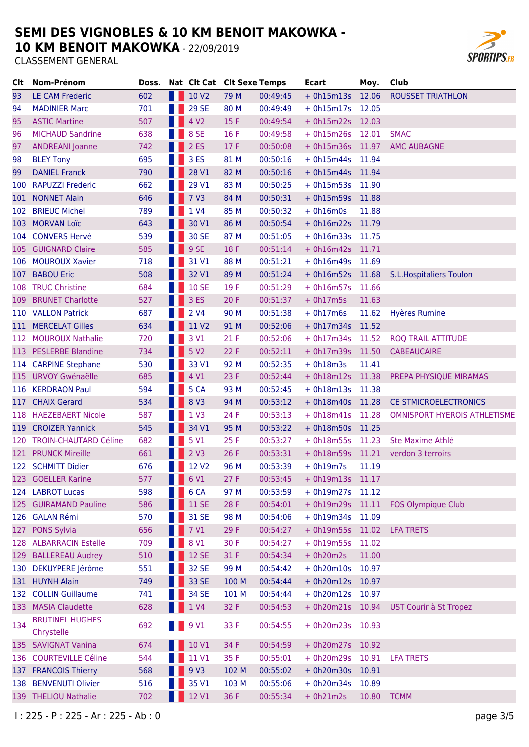**10 KM BENOIT MAKOWKA - 22/09/2019** 



| Clt | Nom-Prénom                           | Doss. |      |                   | Nat Clt Cat Clt Sexe Temps |          | Ecart            | Moy.  | Club                           |
|-----|--------------------------------------|-------|------|-------------------|----------------------------|----------|------------------|-------|--------------------------------|
| 93  | <b>LE CAM Frederic</b>               | 602   | a se | 10 V <sub>2</sub> | 79 M                       | 00:49:45 | $+ 0h15m13s$     | 12.06 | <b>ROUSSET TRIATHLON</b>       |
| 94  | <b>MADINIER Marc</b>                 | 701   |      | <b>29 SE</b>      | 80 M                       | 00:49:49 | $+ 0h15m17s$     | 12.05 |                                |
| 95  | <b>ASTIC Martine</b>                 | 507   |      | 4 V <sub>2</sub>  | 15 F                       | 00:49:54 | $+ 0h15m22s$     | 12.03 |                                |
| 96  | <b>MICHAUD Sandrine</b>              | 638   |      | 8 SE              | 16 F                       | 00:49:58 | $+ 0h15m26s$     | 12.01 | <b>SMAC</b>                    |
| 97  | <b>ANDREANI Joanne</b>               | 742   |      | 2ES               | 17F                        | 00:50:08 | $+ 0h15m36s$     | 11.97 | <b>AMC AUBAGNE</b>             |
| 98  | <b>BLEY Tony</b>                     | 695   |      | 3ES               | 81 M                       | 00:50:16 | $+ 0h15m44s$     | 11.94 |                                |
| 99  | <b>DANIEL Franck</b>                 | 790   |      | 28 V1             | 82 M                       | 00:50:16 | $+ 0h15m44s$     | 11.94 |                                |
| 100 | <b>RAPUZZI Frederic</b>              | 662   |      | 29 V1             | 83 M                       | 00:50:25 | $+ 0h15m53s$     | 11.90 |                                |
| 101 | <b>NONNET Alain</b>                  | 646   |      | 7 V3              | 84 M                       | 00:50:31 | $+ 0h15m59s$     | 11.88 |                                |
| 102 | <b>BRIEUC Michel</b>                 | 789   |      | 1 V4              | 85 M                       | 00:50:32 | $+ 0h16m0s$      | 11.88 |                                |
|     | 103 MORVAN Loïc                      | 643   |      | 30 V1             | 86 M                       | 00:50:54 | $+ 0h16m22s$     | 11.79 |                                |
|     | 104 CONVERS Hervé                    | 539   |      | 30 SE             | 87 M                       | 00:51:05 | $+ 0h16m33s$     | 11.75 |                                |
|     | 105 GUIGNARD Claire                  | 585   |      | 9 SE              | 18 F                       | 00:51:14 | $+ 0h16m42s$     | 11.71 |                                |
| 106 | <b>MOUROUX Xavier</b>                | 718   |      | 31 V1             | 88 M                       | 00:51:21 | $+ 0h16m49s$     | 11.69 |                                |
| 107 | <b>BABOU Eric</b>                    | 508   |      | 32 V1             | 89 M                       | 00:51:24 | $+ 0h16m52s$     | 11.68 | <b>S.L.Hospitaliers Toulon</b> |
|     | 108 TRUC Christine                   | 684   |      | <b>10 SE</b>      | 19 F                       | 00:51:29 | $+ 0h16m57s$     | 11.66 |                                |
|     | 109 BRUNET Charlotte                 | 527   |      | 3 ES              | 20F                        | 00:51:37 | $+ 0h17m5s$      | 11.63 |                                |
|     | 110 VALLON Patrick                   | 687   |      | 2 V4              | 90 M                       | 00:51:38 | $+ 0h17m6s$      | 11.62 | <b>Hyères Rumine</b>           |
|     | 111 MERCELAT Gilles                  | 634   |      | 11 V <sub>2</sub> | 91 M                       | 00:52:06 | $+ 0h17m34s$     | 11.52 |                                |
|     | 112 MOUROUX Nathalie                 | 720   |      | 3 V1              | 21F                        | 00:52:06 | $+ 0h17m34s$     | 11.52 | <b>ROQ TRAIL ATTITUDE</b>      |
|     | 113 PESLERBE Blandine                | 734   |      | 5 V2              | 22 F                       | 00:52:11 | $+ 0h17m39s$     | 11.50 | <b>CABEAUCAIRE</b>             |
|     | 114 CARPINE Stephane                 | 530   |      | 33 V1             | 92 M                       | 00:52:35 | $+ 0h18m3s$      | 11.41 |                                |
|     | 115 URVOY Gwénaëlle                  | 685   |      | 4 V1              | 23 F                       | 00:52:44 | + 0h18m12s 11.38 |       | PREPA PHYSIQUE MIRAMAS         |
| 116 | <b>KERDRAON Paul</b>                 | 594   |      | 5 CA              | 93 M                       | 00:52:45 | $+ 0h18m13s$     | 11.38 |                                |
|     | 117 CHAIX Gerard                     | 534   |      | 8 V3              | 94 M                       | 00:53:12 | $+ 0h18m40s$     | 11.28 | CE STMICROELECTRONICS          |
|     | 118 HAEZEBAERT Nicole                | 587   |      | 1 <sub>V</sub> 3  | 24 F                       | 00:53:13 | $+ 0h18m41s$     | 11.28 | OMNISPORT HYEROIS ATHLETISME   |
|     | 119 CROIZER Yannick                  | 545   |      | 34 V1             | 95 M                       | 00:53:22 | $+ 0h18m50s$     | 11.25 |                                |
|     | 120 TROIN-CHAUTARD Céline            | 682   |      | 5 V1              | 25 F                       | 00:53:27 | $+ 0h18m55s$     | 11.23 | Ste Maxime Athlé               |
|     | 121 PRUNCK Mireille                  | 661   |      | 2 V3              | 26 F                       | 00:53:31 | $+ 0h18m59s$     | 11.21 | verdon 3 terroirs              |
|     | 122 SCHMITT Didier                   | 676   |      | 12 V <sub>2</sub> | 96 M                       | 00:53:39 | $+ 0h19m7s$      | 11.19 |                                |
|     | 123 GOELLER Karine                   | 577   |      | 6 V1              | 27 F                       | 00:53:45 | + 0h19m13s 11.17 |       |                                |
|     | 124 LABROT Lucas                     | 598   |      | 6 <sub>CA</sub>   | 97 M                       | 00:53:59 | $+ 0h19m27s$     | 11.12 |                                |
|     | 125 GUIRAMAND Pauline                | 586   |      | <b>11 SE</b>      | 28 F                       | 00:54:01 | $+ 0h19m29s$     | 11.11 | FOS Olympique Club             |
|     | 126 GALAN Rémi                       | 570   |      | 31 SE             | 98 M                       | 00:54:06 | $+ 0h19m34s$     | 11.09 |                                |
| 127 | <b>PONS Sylvia</b>                   | 656   |      | 7 V1              | 29 F                       | 00:54:27 | $+ 0h19m55s$     | 11.02 | <b>LFA TRETS</b>               |
|     | 128 ALBARRACIN Estelle               | 709   |      | 8 V1              | 30 F                       | 00:54:27 | $+ 0h19m55s$     | 11.02 |                                |
|     | 129 BALLEREAU Audrey                 | 510   |      | <b>12 SE</b>      | 31 F                       | 00:54:34 | $+ 0h20m2s$      | 11.00 |                                |
|     | 130 DEKUYPERE Jérôme                 | 551   |      | 32 SE             | 99 M                       | 00:54:42 | $+ 0h20m10s$     | 10.97 |                                |
|     | 131 HUYNH Alain                      | 749   |      | 33 SE             | 100 M                      | 00:54:44 | $+ 0h20m12s$     | 10.97 |                                |
|     | 132 COLLIN Guillaume                 | 741   |      | 34 SE             | 101 M                      | 00:54:44 | $+ 0h20m12s$     | 10.97 |                                |
|     | 133 MASIA Claudette                  | 628   |      | 1 V4              | 32 F                       | 00:54:53 | + 0h20m21s 10.94 |       | UST Courir à St Tropez         |
| 134 | <b>BRUTINEL HUGHES</b><br>Chrystelle | 692   |      | 9 V1              | 33 F                       | 00:54:55 | $+ 0h20m23s$     | 10.93 |                                |
|     | 135 SAVIGNAT Vanina                  | 674   |      | 10 V1             | 34 F                       | 00:54:59 | $+ 0h20m27s$     | 10.92 |                                |
|     | 136 COURTEVILLE Céline               | 544   |      | 11 V1             | 35 F                       | 00:55:01 | $+ 0h20m29s$     | 10.91 | <b>LFA TRETS</b>               |
|     | 137 FRANCOIS Thierry                 | 568   |      | 9 <sub>V</sub> 3  | 102 M                      | 00:55:02 | $+ 0h20m30s$     | 10.91 |                                |
|     | 138 BENVENUTI Olivier                | 516   |      | 35 V1             | 103 M                      | 00:55:06 | $+ 0h20m34s$     | 10.89 |                                |
|     | 139 THELIOU Nathalie                 | 702   |      | 12 V1             | 36 F                       | 00:55:34 | $+ 0h21m2s$      | 10.80 | <b>TCMM</b>                    |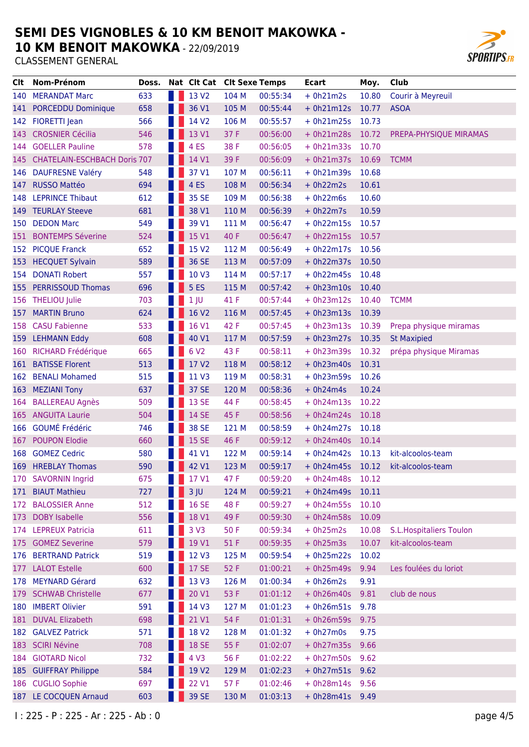**10 KM BENOIT MAKOWKA - 22/09/2019** 



| CIt.  | Nom-Prénom                          | Doss. | Nat Clt Cat Clt Sexe Temps |       |          | Ecart           | Moy.  | Club                            |
|-------|-------------------------------------|-------|----------------------------|-------|----------|-----------------|-------|---------------------------------|
| 140   | <b>MERANDAT Marc</b>                | 633   | 13 V <sub>2</sub>          | 104 M | 00:55:34 | $+ 0h21m2s$     | 10.80 | Courir à Meyreuil               |
| 141   | <b>PORCEDDU Dominique</b>           | 658   | 36 V1                      | 105 M | 00:55:44 | $+ 0h21m12s$    | 10.77 | <b>ASOA</b>                     |
|       | 142 FIORETTI Jean                   | 566   | 14 V <sub>2</sub>          | 106 M | 00:55:57 | $+ 0h21m25s$    | 10.73 |                                 |
| 143 - | <b>CROSNIER Cécilia</b>             | 546   | 13 V1                      | 37 F  | 00:56:00 | $+ 0h21m28s$    | 10.72 | PREPA-PHYSIQUE MIRAMAS          |
| 144   | <b>GOELLER Pauline</b>              | 578   | 4 <sub>ES</sub>            | 38 F  | 00:56:05 | $+ 0h21m33s$    | 10.70 |                                 |
| 145   | <b>CHATELAIN-ESCHBACH Doris 707</b> |       | 14 V1                      | 39 F  | 00:56:09 | $+ 0h21m37s$    | 10.69 | <b>TCMM</b>                     |
| 146   | <b>DAUFRESNE Valéry</b>             | 548   | 37 V1                      | 107 M | 00:56:11 | $+ 0h21m39s$    | 10.68 |                                 |
| 147   | <b>RUSSO Mattéo</b>                 | 694   | 4 <sub>ES</sub>            | 108 M | 00:56:34 | $+ 0h22m2s$     | 10.61 |                                 |
| 148   | <b>LEPRINCE Thibaut</b>             | 612   | 35 SE                      | 109 M | 00:56:38 | $+ 0h22m6s$     | 10.60 |                                 |
|       | 149 TEURLAY Steeve                  | 681   | 38 V1                      | 110 M | 00:56:39 | $+ 0h22m7s$     | 10.59 |                                 |
| 150   | <b>DEDON Marc</b>                   | 549   | 39 V1                      | 111 M | 00:56:47 | $+ 0h22m15s$    | 10.57 |                                 |
| 151   | <b>BONTEMPS Séverine</b>            | 524   | 15 V1                      | 40 F  | 00:56:47 | $+ 0h22m15s$    | 10.57 |                                 |
|       | 152 PICQUE Franck                   | 652   | 15 V <sub>2</sub>          | 112 M | 00:56:49 | $+ 0h22m17s$    | 10.56 |                                 |
| 153 - | <b>HECQUET Sylvain</b>              | 589   | 36 SE                      | 113 M | 00:57:09 | $+ 0h22m37s$    | 10.50 |                                 |
| 154   | <b>DONATI Robert</b>                | 557   | 10 V3                      | 114 M | 00:57:17 | $+ 0h22m45s$    | 10.48 |                                 |
| 155   | <b>PERRISSOUD Thomas</b>            | 696   | <b>5 ES</b>                | 115 M | 00:57:42 | $+ 0h23m10s$    | 10.40 |                                 |
|       | 156 THELIOU Julie                   | 703   | 1 <sub>1</sub>             | 41 F  | 00:57:44 | $+ 0h23m12s$    | 10.40 | <b>TCMM</b>                     |
| 157   | <b>MARTIN Bruno</b>                 | 624   | 16 V2                      | 116 M | 00:57:45 | $+ 0h23m13s$    | 10.39 |                                 |
| 158   | <b>CASU Fabienne</b>                | 533   | 16 V1                      | 42 F  | 00:57:45 | $+ 0h23m13s$    | 10.39 | Prepa physique miramas          |
|       | 159 LEHMANN Eddy                    | 608   | 40 V1                      | 117 M | 00:57:59 | $+ 0h23m27s$    | 10.35 | <b>St Maxipied</b>              |
| 160   | <b>RICHARD Frédérique</b>           | 665   | 6 V <sub>2</sub>           | 43 F  | 00:58:11 | $+ 0h23m39s$    | 10.32 | prépa physique Miramas          |
| 161   | <b>BATISSE Florent</b>              | 513   | 17 V2                      | 118 M | 00:58:12 | $+ 0h23m40s$    | 10.31 |                                 |
| 162   | <b>BENALI Mohamed</b>               | 515   | 11 V3                      | 119 M | 00:58:31 | $+ 0h23m59s$    | 10.26 |                                 |
| 163   | <b>MEZIANI Tony</b>                 | 637   | 37 SE                      | 120 M | 00:58:36 | $+ 0h24m4s$     | 10.24 |                                 |
| 164   | <b>BALLEREAU Agnès</b>              | 509   | <b>13 SE</b>               | 44 F  | 00:58:45 | $+ 0h24m13s$    | 10.22 |                                 |
|       | 165 ANGUITA Laurie                  | 504   | 14 SE                      | 45 F  | 00:58:56 | $+ 0h24m24s$    | 10.18 |                                 |
|       | 166 GOUMÉ Frédéric                  | 746   | 38 SE                      | 121 M | 00:58:59 | $+ 0h24m27s$    | 10.18 |                                 |
| 167   | <b>POUPON Elodie</b>                | 660   | <b>15 SE</b>               | 46 F  | 00:59:12 | $+ 0h24m40s$    | 10.14 |                                 |
| 168   | <b>GOMEZ Cedric</b>                 | 580   | 41 V1                      | 122 M | 00:59:14 | $+ 0h24m42s$    | 10.13 | kit-alcoolos-team               |
|       | 169 HREBLAY Thomas                  | 590   | 42 V1                      | 123 M | 00:59:17 | $+ 0h24m45s$    | 10.12 | kit-alcoolos-team               |
| 170   | <b>SAVORNIN Ingrid</b>              | 675   | 17 V1                      | 47 F  | 00:59:20 | $+ 0h24m48s$    | 10.12 |                                 |
|       | 171 BIAUT Mathieu                   | 727   | $3$ JU                     | 124 M | 00:59:21 | $+ 0h24m49s$    | 10.11 |                                 |
| 172   | <b>BALOSSIER Anne</b>               | 512   | <b>16 SE</b>               | 48 F  | 00:59:27 | $+ 0h24m55s$    | 10.10 |                                 |
| 173   | <b>DOBY Isabelle</b>                | 556   | 18 V1                      | 49 F  | 00:59:30 | $+ 0h24m58s$    | 10.09 |                                 |
|       | 174 LEPREUX Patricia                | 611   | 3 <sub>V</sub> 3           | 50 F  | 00:59:34 | $+ 0h25m2s$     | 10.08 | <b>S.L. Hospitaliers Toulon</b> |
| 175   | <b>GOMEZ Severine</b>               | 579   | 19 V1                      | 51F   | 00:59:35 | $+ 0h25m3s$     | 10.07 | kit-alcoolos-team               |
|       | 176 BERTRAND Patrick                | 519   | 12 V3                      | 125 M | 00:59:54 | $+ 0h25m22s$    | 10.02 |                                 |
| 177   | <b>LALOT Estelle</b>                | 600   | <b>17 SE</b>               | 52 F  | 01:00:21 | $+ 0h25m49s$    | 9.94  | Les foulées du loriot           |
| 178   | <b>MEYNARD Gérard</b>               | 632   | 13 V3                      | 126 M | 01:00:34 | $+ 0h26m2s$     | 9.91  |                                 |
| 179   | <b>SCHWAB Christelle</b>            | 677   | 20 V1                      | 53 F  | 01:01:12 | $+ 0h26m40s$    | 9.81  | club de nous                    |
| 180   | <b>IMBERT Olivier</b>               | 591   | 14 V3                      | 127 M | 01:01:23 | $+ 0h26m51s$    | 9.78  |                                 |
| 181   | <b>DUVAL Elizabeth</b>              | 698   | 21 V1                      | 54 F  | 01:01:31 | $+ 0h26m59s$    | 9.75  |                                 |
|       | 182 GALVEZ Patrick                  | 571   | 18 V <sub>2</sub>          | 128 M | 01:01:32 | $+ 0h27m0s$     | 9.75  |                                 |
|       | 183 SCIRI Névine                    | 708   | <b>18 SE</b>               | 55 F  | 01:02:07 | $+ 0h27m35s$    | 9.66  |                                 |
|       | 184 GIOTARD Nicol                   | 732   | 4 V3                       | 56 F  | 01:02:22 | $+ 0h27m50s$    | 9.62  |                                 |
| 185   | <b>GUIFFRAY Philippe</b>            | 584   | 19 V2                      | 129 M | 01:02:23 | $+ 0h27m51s$    | 9.62  |                                 |
|       | 186 CUGLIO Sophie                   | 697   | 22 V1                      | 57 F  | 01:02:46 | $+ 0h28m14s$    | 9.56  |                                 |
|       | 187 LE COCQUEN Arnaud               | 603   | 39 SE                      | 130 M | 01:03:13 | + 0h28m41s 9.49 |       |                                 |